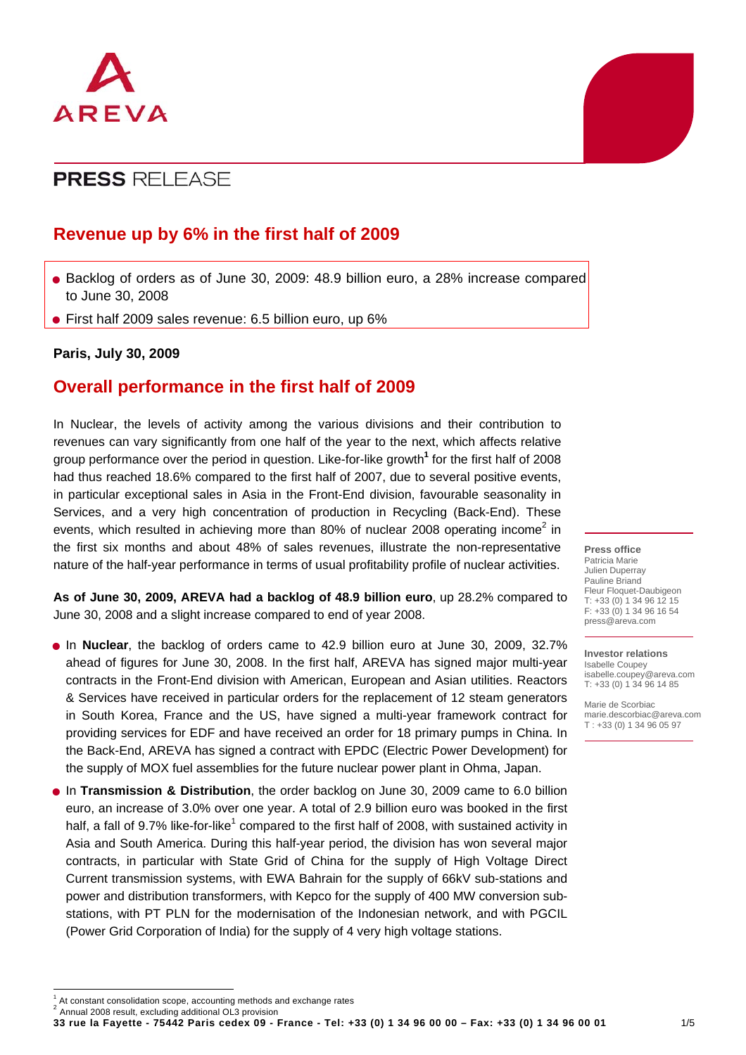

## **Revenue up by 6% in the first half of 2009**

- Backlog of orders as of June 30, 2009: 48.9 billion euro, a 28% increase compared to June 30, 2008
- First half 2009 sales revenue: 6.5 billion euro, up 6%

#### **Paris, July 30, 2009**

## **Overall performance in the first half of 2009**

In Nuclear, the levels of activity among the various divisions and their contribution to revenues can vary significantly from one half of the year to the next, which affects relative group performance over the period in question. Like-for-like growth**[1](#page-0-0)** for the first half of 2008 had thus reached 18.6% compared to the first half of 2007, due to several positive events, in particular exceptional sales in Asia in the Front-End division, favourable seasonality in Services, and a very high concentration of production in Recycling (Back-End). These events,which resulted in achieving more than 80% of nuclear 2008 operating income<sup>2</sup> in the first six months and about 48% of sales revenues, illustrate the non-representative nature of the half-year performance in terms of usual profitability profile of nuclear activities.

**As of June 30, 2009, AREVA had a backlog of 48.9 billion euro**, up 28.2% compared to June 30, 2008 and a slight increase compared to end of year 2008.

- In **Nuclear**, the backlog of orders came to 42.9 billion euro at June 30, 2009, 32.7% the Back-End, AREVA has signed a contract with EPDC (Electric Power Development) for ahead of figures for June 30, 2008. In the first half, AREVA has signed major multi-year contracts in the Front-End division with American, European and Asian utilities. Reactors & Services have received in particular orders for the replacement of 12 steam generators in South Korea, France and the US, have signed a multi-year framework contract for providing services for EDF and have received an order for 18 primary pumps in China. In the supply of MOX fuel assemblies for the future nuclear power plant in Ohma, Japan.
- In **Transmission & Distribution**, the order backlog on June 30, 2009 came to 6.0 billion stations, with PT PLN for the modernisation of the Indonesian network, and with PGCIL (Power Grid Corporation of India) for the supply of 4 very high voltage stations. euro, an increase of 3.0% over one year. A total of 2.9 billion euro was booked in the first half, a fall of 9.7% like-for-like<sup>1</sup> compared to the first half of 2008, with sustained activity in Asia and South America. During this half-year period, the division has won several major contracts, in particular with State Grid of China for the supply of High Voltage Direct Current transmission systems, with EWA Bahrain for the supply of 66kV sub-stations and power and distribution transformers, with Kepco for the supply of 400 MW conversion sub-

#### **Press office**

Patricia Marie Julien Duperray Pauline Briand Fleur Floquet-Daubigeon T: +33 (0) 1 34 96 12 15 F: +33 (0) 1 34 96 16 54 press@areva.com

#### **Investor relations**

Isabelle Coupey isabelle.coupey@areva.com T: +33 (0) 1 34 96 14 85

Marie de Scorbiac [marie.descorbiac@areva.com](mailto:marie.descorbiac@areva.com) T : +33 (0) 1 34 96 05 97

<span id="page-0-0"></span> $<sup>1</sup>$  At constant consolidation scope, accounting methods and exchange rates</sup>

<span id="page-0-1"></span>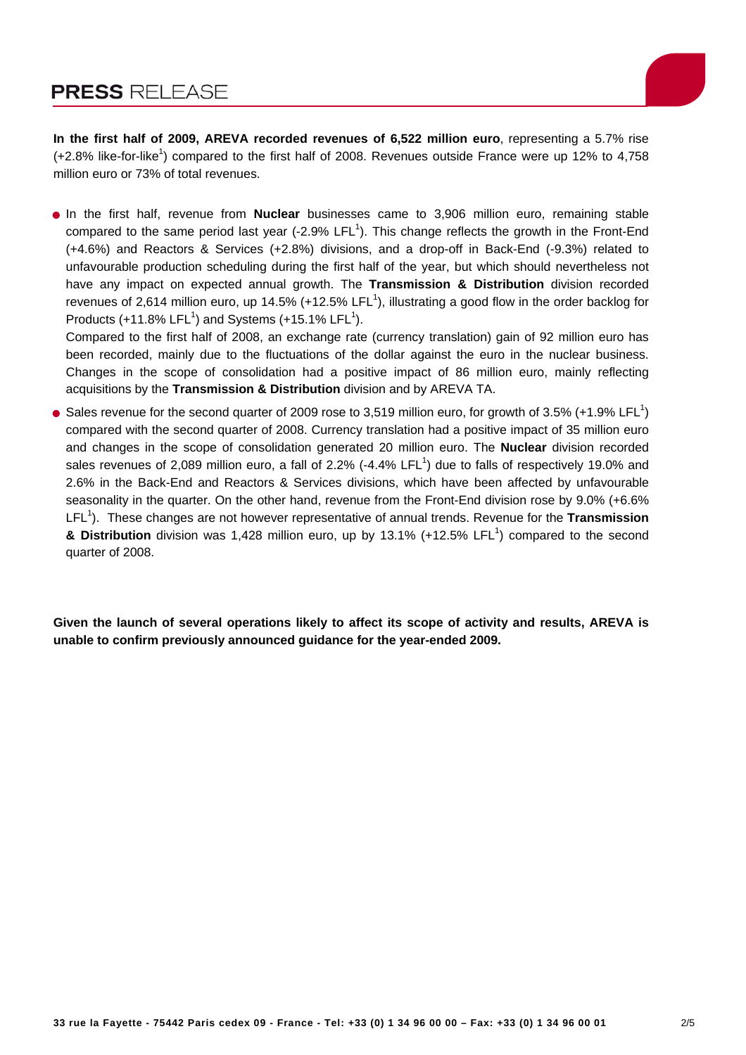

**In the first half of 2009, AREVA recorded revenues of 6,522 million euro**, representing a 5.7% rise  $(+2.8\%$  like-for-like<sup>1</sup>) compared to the first half of 2008. Revenues outside France were up 12% to 4,758 million euro or 73% of total revenues.

• In the first half, revenue from **Nuclear** businesses came to 3,906 million euro, remaining stable compared to the same period last year (-2.9% LFL<sup>1</sup>). This change reflects the growth in the Front-End (+4.6%) and Reactors & Services (+2.8%) divisions, and a drop-off in Back-End (-9.3%) related to unfavourable production scheduling during the first half of the year, but which should nevertheless not have any impact on expected annual growth. The **Transmission & Distribution** division recorded revenues of 2,614 million euro, up 14.5% (+12.5% LFL<sup>1</sup>), illustrating a good flow in the order backlog for Products  $(+11.8\%$  LFL<sup>1</sup>) and Systems  $(+15.1\%$  LFL<sup>1</sup>).

Compared to the first half of 2008, an exchange rate (currency translation) gain of 92 million euro has been recorded, mainly due to the fluctuations of the dollar against the euro in the nuclear business. Changes in the scope of consolidation had a positive impact of 86 million euro, mainly reflecting acquisitions by the **Transmission & Distribution** division and by AREVA TA.

• Sales revenue for the second quarter of 2009 rose to 3,519 million euro, for growth of 3.5% (+1.9% LFL<sup>1</sup>) compared with the second quarter of 2008. Currency translation had a positive impact of 35 million euro and changes in the scope of consolidation generated 20 million euro. The **Nuclear** division recorded sales revenues of 2,089 million euro, a fall of 2.2% (-4.4% LFL<sup>1</sup>) due to falls of respectively 19.0% and 2.6% in the Back-End and Reactors & Services divisions, which have been affected by unfavourable seasonality in the quarter. On the other hand, revenue from the Front-End division rose by 9.0% (+6.6% LFL<sup>1</sup>). These changes are not however representative of annual trends. Revenue for the Transmission & Distribution division was 1,428 million euro, up by 13.1% (+12.5% LFL<sup>1</sup>) compared to the second quarter of 2008.

**Given the launch of several operations likely to affect its scope of activity and results, AREVA is unable to confirm previously announced guidance for the year-ended 2009.**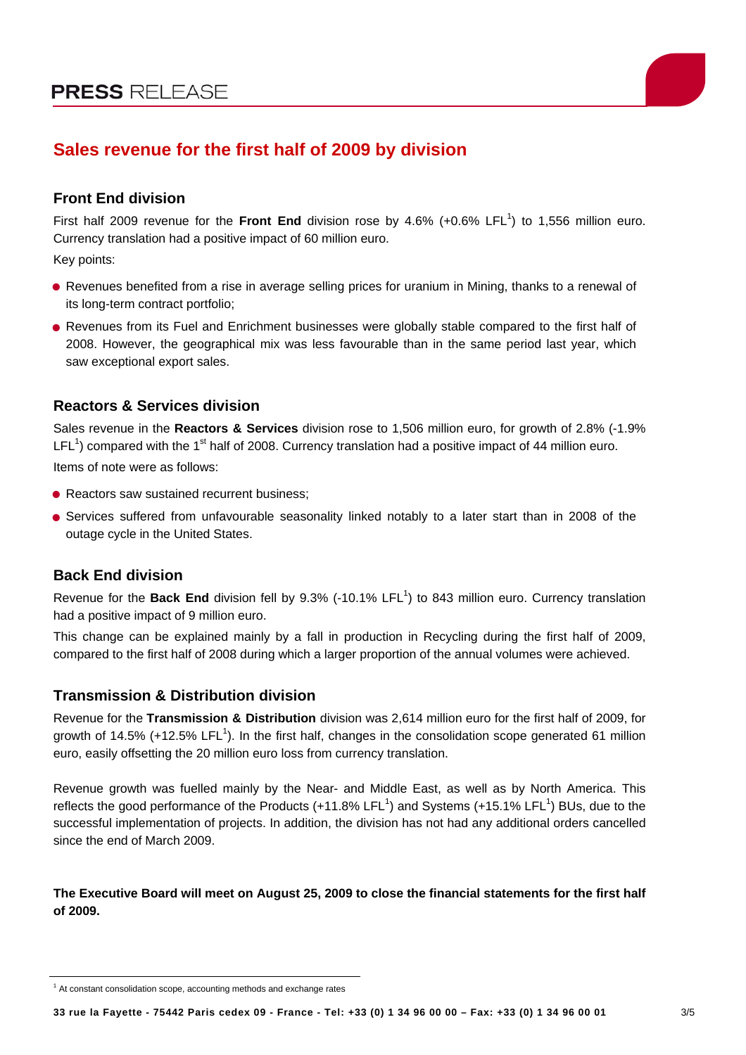

# **Sales revenue for the first half of 2009 by division**

## **Front End division**

First half 2009 revenue for the Front End division rose by 4.6% (+0.6% LFL<sup>1</sup>) to 1,556 million euro. Currency translation had a positive impact of 60 million euro.

Key points:

- Revenues benefited from a rise in average selling prices for uranium in Mining, thanks to a renewal of its long-term contract portfolio;
- Revenues from its Fuel and Enrichment businesses were globally stable compared to the first half of 2008. However, the geographical mix was less favourable than in the same period last year, which saw exceptional export sales.

## **Reactors & Services division**

Sales revenue in the **Reactors & Services** division rose to 1,506 million euro, for growth of 2.8% (-1.9%  $LEL<sup>1</sup>$ ) compared with the 1<sup>st</sup> half of 2008. Currency translation had a positive impact of 44 million euro. Items of note were as follows:

- Reactors saw sustained recurrent business:
- Services suffered from unfavourable seasonality linked notably to a later start than in 2008 of the outage cycle in the United States.

## **Back End division**

Revenue for the Back End division fell by 9.3% (-10.1% LFL<sup>1</sup>) to 843 million euro. Currency translation had a positive impact of 9 million euro.

, This change can be explained mainly by a fall in production in Recycling during the first half of 2009 compared to the first half of 2008 during which a larger proportion of the annual volumes were achieved.

### **Transmission & Distribution division**

growth of 14.5% (+12.5% LFL<sup>1</sup>). In the first half, changes in the consolidation scope generated 61 million euro, easily offsetting the 20 million euro loss from currency translation. Revenue for the **Transmission & Distribution** division was 2,614 million euro for the first half of 2009, for

successful implementation of projects. In addition, the division has not had any additional orders cancelled since the end of March 2009. Revenue growth was fuelled mainly by the Near- and Middle East, as well as by North America. This reflects the good performance of the Products (+11.8% LFL<sup>1</sup>) and Systems (+15.1% LFL<sup>1</sup>) BUs, due to the

#### **utive Board will meet on August 25, 2009 to close the financial statements for the first half The Exec of 2009.**

 $1$  At constant consolidation scope, accounting methods and exchange rates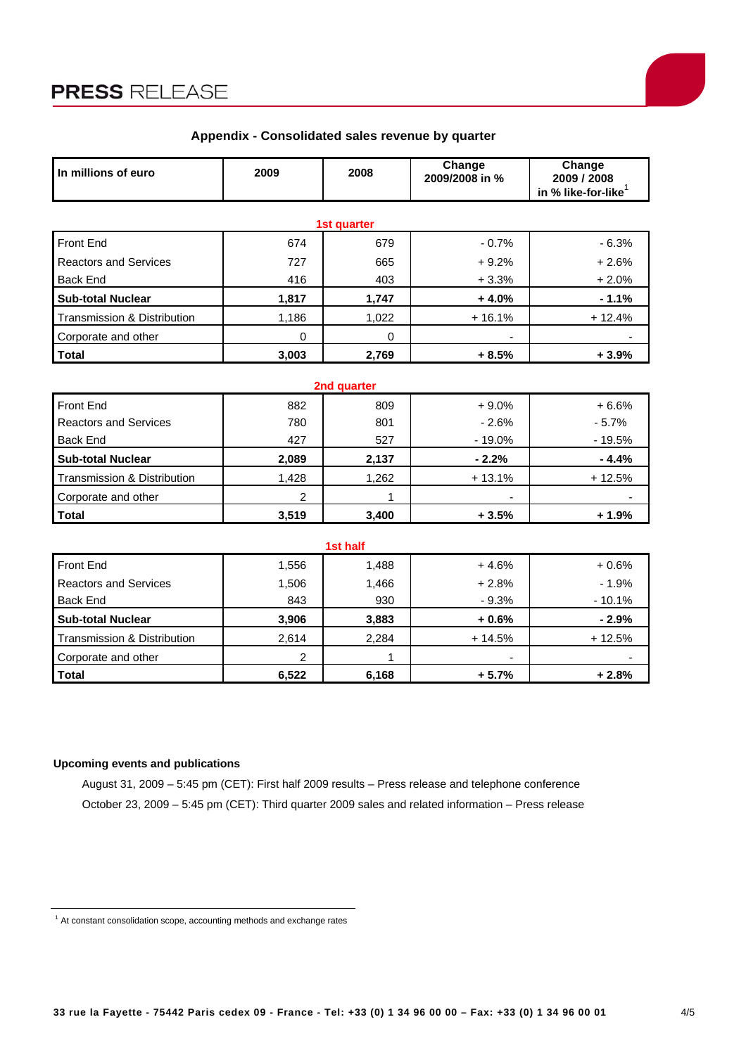

| In millions of euro                    | 2009     | 2008        | Change<br>2009/2008 in % | Change<br>2009 / 2008<br>in % like-for-like |
|----------------------------------------|----------|-------------|--------------------------|---------------------------------------------|
|                                        |          | 1st quarter |                          |                                             |
| <b>Front End</b>                       | 674      | 679         | $-0.7%$                  | $-6.3%$                                     |
| <b>Reactors and Services</b>           | 727      | 665         | $+9.2%$                  | $+2.6%$                                     |
| <b>Back End</b>                        | 416      | 403         | $+3.3%$                  | $+2.0%$                                     |
| <b>Sub-total Nuclear</b>               | 1,817    | 1,747       | $+4.0%$                  | $-1.1%$                                     |
| Transmission & Distribution            | 1,186    | 1,022       | $+16.1%$                 | $+12.4%$                                    |
| Corporate and other                    | $\Omega$ | $\Omega$    |                          |                                             |
| <b>Total</b>                           | 3,003    | 2,769       | $+8.5%$                  | $+3.9%$                                     |
|                                        |          | 2nd quarter |                          |                                             |
| <b>Front End</b>                       | 882      | 809         | $+9.0%$                  | $+6.6%$                                     |
| <b>Reactors and Services</b>           | 780      | 801         | $-2.6%$                  | $-5.7%$                                     |
| <b>Back End</b>                        | 427      | 527         | $-19.0%$                 | $-19.5%$                                    |
| <b>Sub-total Nuclear</b>               | 2,089    | 2,137       | $-2.2%$                  | $-4.4%$                                     |
| Transmission & Distribution            | 1,428    | 1,262       | $+13.1%$                 | $+12.5%$                                    |
| Corporate and other                    | 2        | 1           |                          |                                             |
| <b>Total</b>                           | 3,519    | 3,400       | $+3.5%$                  | $+1.9%$                                     |
|                                        |          | 1st half    |                          |                                             |
| Front End                              | 1,556    | 1,488       | $+4.6%$                  | $+0.6%$                                     |
| <b>Reactors and Services</b>           | 1,506    | 1,466       | $+2.8%$                  | $-1.9%$                                     |
| <b>Back End</b>                        | 843      | 930         | $-9.3%$                  | $-10.1%$                                    |
| <b>Sub-total Nuclear</b>               | 3,906    | 3,883       | $+0.6%$                  | $-2.9%$                                     |
| <b>Transmission &amp; Distribution</b> | 2,614    | 2,284       | $+14.5%$                 | $+12.5%$                                    |

### **Appendix - Consolidated sales revenue by quarter**

#### **Upcoming events and publications**

August 31, 2009 – 5:45 pm (CET): First half 2009 results – Press release and telephone conference October 23, 2009 – 5:45 pm (CET): Third quarter 2009 sales and related information – Press release

**Total 6,522 6,168 + 5.7% + 2.8%**

Corporate and other 2 1 - -

<sup>&</sup>lt;sup>1</sup> At constant consolidation scope, accounting methods and exchange rates